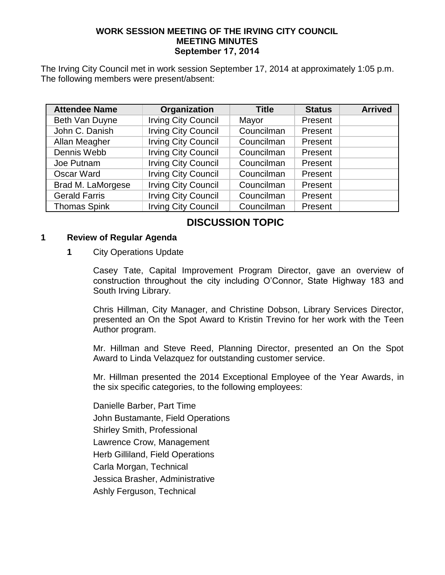### **WORK SESSION MEETING OF THE IRVING CITY COUNCIL MEETING MINUTES September 17, 2014**

The Irving City Council met in work session September 17, 2014 at approximately 1:05 p.m. The following members were present/absent:

| <b>Attendee Name</b> | Organization               | <b>Title</b> | <b>Status</b> | <b>Arrived</b> |
|----------------------|----------------------------|--------------|---------------|----------------|
| Beth Van Duyne       | <b>Irving City Council</b> | Mayor        | Present       |                |
| John C. Danish       | <b>Irving City Council</b> | Councilman   | Present       |                |
| Allan Meagher        | <b>Irving City Council</b> | Councilman   | Present       |                |
| Dennis Webb          | <b>Irving City Council</b> | Councilman   | Present       |                |
| Joe Putnam           | <b>Irving City Council</b> | Councilman   | Present       |                |
| Oscar Ward           | <b>Irving City Council</b> | Councilman   | Present       |                |
| Brad M. LaMorgese    | <b>Irving City Council</b> | Councilman   | Present       |                |
| <b>Gerald Farris</b> | <b>Irving City Council</b> | Councilman   | Present       |                |
| <b>Thomas Spink</b>  | <b>Irving City Council</b> | Councilman   | Present       |                |

## **DISCUSSION TOPIC**

#### **1 Review of Regular Agenda**

#### **1** City Operations Update

Casey Tate, Capital Improvement Program Director, gave an overview of construction throughout the city including O'Connor, State Highway 183 and South Irving Library.

Chris Hillman, City Manager, and Christine Dobson, Library Services Director, presented an On the Spot Award to Kristin Trevino for her work with the Teen Author program.

Mr. Hillman and Steve Reed, Planning Director, presented an On the Spot Award to Linda Velazquez for outstanding customer service.

Mr. Hillman presented the 2014 Exceptional Employee of the Year Awards, in the six specific categories, to the following employees:

Danielle Barber, Part Time John Bustamante, Field Operations Shirley Smith, Professional Lawrence Crow, Management Herb Gilliland, Field Operations Carla Morgan, Technical Jessica Brasher, Administrative Ashly Ferguson, Technical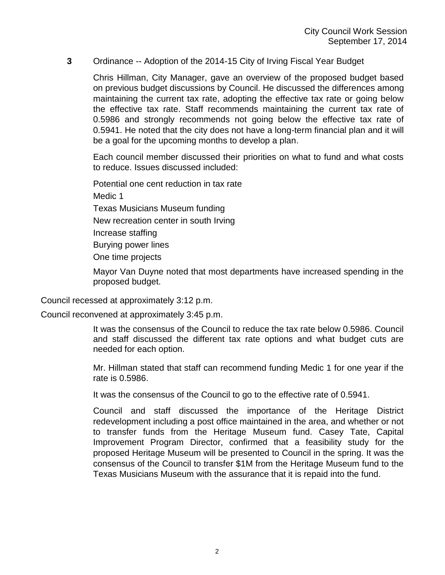### **3** Ordinance -- Adoption of the 2014-15 City of Irving Fiscal Year Budget

Chris Hillman, City Manager, gave an overview of the proposed budget based on previous budget discussions by Council. He discussed the differences among maintaining the current tax rate, adopting the effective tax rate or going below the effective tax rate. Staff recommends maintaining the current tax rate of 0.5986 and strongly recommends not going below the effective tax rate of 0.5941. He noted that the city does not have a long-term financial plan and it will be a goal for the upcoming months to develop a plan.

Each council member discussed their priorities on what to fund and what costs to reduce. Issues discussed included:

Potential one cent reduction in tax rate

Medic 1

Texas Musicians Museum funding

New recreation center in south Irving

Increase staffing

Burying power lines

One time projects

Mayor Van Duyne noted that most departments have increased spending in the proposed budget.

Council recessed at approximately 3:12 p.m.

Council reconvened at approximately 3:45 p.m.

It was the consensus of the Council to reduce the tax rate below 0.5986. Council and staff discussed the different tax rate options and what budget cuts are needed for each option.

Mr. Hillman stated that staff can recommend funding Medic 1 for one year if the rate is 0.5986.

It was the consensus of the Council to go to the effective rate of 0.5941.

Council and staff discussed the importance of the Heritage District redevelopment including a post office maintained in the area, and whether or not to transfer funds from the Heritage Museum fund. Casey Tate, Capital Improvement Program Director, confirmed that a feasibility study for the proposed Heritage Museum will be presented to Council in the spring. It was the consensus of the Council to transfer \$1M from the Heritage Museum fund to the Texas Musicians Museum with the assurance that it is repaid into the fund.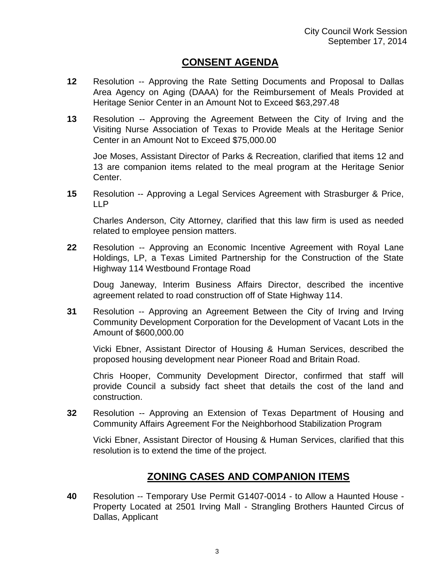## **CONSENT AGENDA**

- **12** Resolution -- Approving the Rate Setting Documents and Proposal to Dallas Area Agency on Aging (DAAA) for the Reimbursement of Meals Provided at Heritage Senior Center in an Amount Not to Exceed \$63,297.48
- **13** Resolution -- Approving the Agreement Between the City of Irving and the Visiting Nurse Association of Texas to Provide Meals at the Heritage Senior Center in an Amount Not to Exceed \$75,000.00

Joe Moses, Assistant Director of Parks & Recreation, clarified that items 12 and 13 are companion items related to the meal program at the Heritage Senior Center.

**15** Resolution -- Approving a Legal Services Agreement with Strasburger & Price, LLP

Charles Anderson, City Attorney, clarified that this law firm is used as needed related to employee pension matters.

**22** Resolution -- Approving an Economic Incentive Agreement with Royal Lane Holdings, LP, a Texas Limited Partnership for the Construction of the State Highway 114 Westbound Frontage Road

Doug Janeway, Interim Business Affairs Director, described the incentive agreement related to road construction off of State Highway 114.

**31** Resolution -- Approving an Agreement Between the City of Irving and Irving Community Development Corporation for the Development of Vacant Lots in the Amount of \$600,000.00

Vicki Ebner, Assistant Director of Housing & Human Services, described the proposed housing development near Pioneer Road and Britain Road.

Chris Hooper, Community Development Director, confirmed that staff will provide Council a subsidy fact sheet that details the cost of the land and construction.

**32** Resolution -- Approving an Extension of Texas Department of Housing and Community Affairs Agreement For the Neighborhood Stabilization Program

Vicki Ebner, Assistant Director of Housing & Human Services, clarified that this resolution is to extend the time of the project.

# **ZONING CASES AND COMPANION ITEMS**

**40** Resolution -- Temporary Use Permit G1407-0014 - to Allow a Haunted House - Property Located at 2501 Irving Mall - Strangling Brothers Haunted Circus of Dallas, Applicant